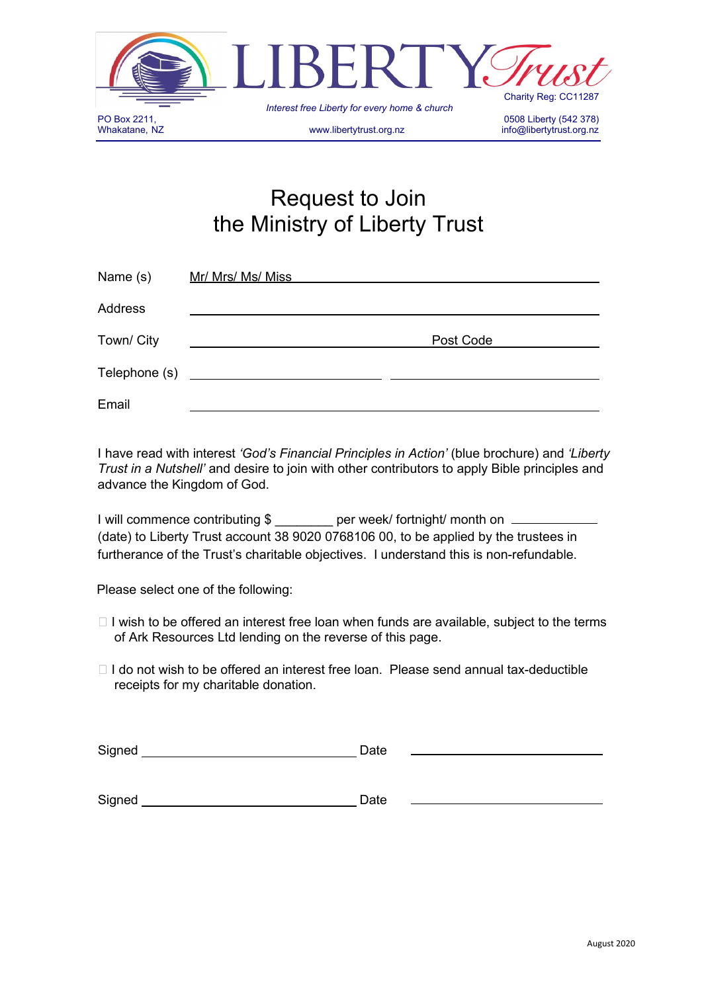

# Request to Join the Ministry of Liberty Trust

| Name (s)      | Mr/ Mrs/ Ms/ Miss |           |  |
|---------------|-------------------|-----------|--|
| Address       |                   |           |  |
| Town/ City    |                   | Post Code |  |
| Telephone (s) |                   |           |  |
| Email         |                   |           |  |

I have read with interest *'God's Financial Principles in Action'* (blue brochure) and *'Liberty Trust in a Nutshell'* and desire to join with other contributors to apply Bible principles and advance the Kingdom of God.

| I will commence contributing \$ | per week/ fortnight/ month on                                                          |
|---------------------------------|----------------------------------------------------------------------------------------|
|                                 | (date) to Liberty Trust account 38 9020 0768106 00, to be applied by the trustees in   |
|                                 | furtherance of the Trust's charitable objectives. I understand this is non-refundable. |

Please select one of the following:

- $\Box$  I wish to be offered an interest free loan when funds are available, subject to the terms of Ark Resources Ltd lending on the reverse of this page.
- $\Box$  I do not wish to be offered an interest free loan. Please send annual tax-deductible receipts for my charitable donation.

| Signed | Date |
|--------|------|
|        |      |
|        |      |
| Signed | Date |
|        |      |